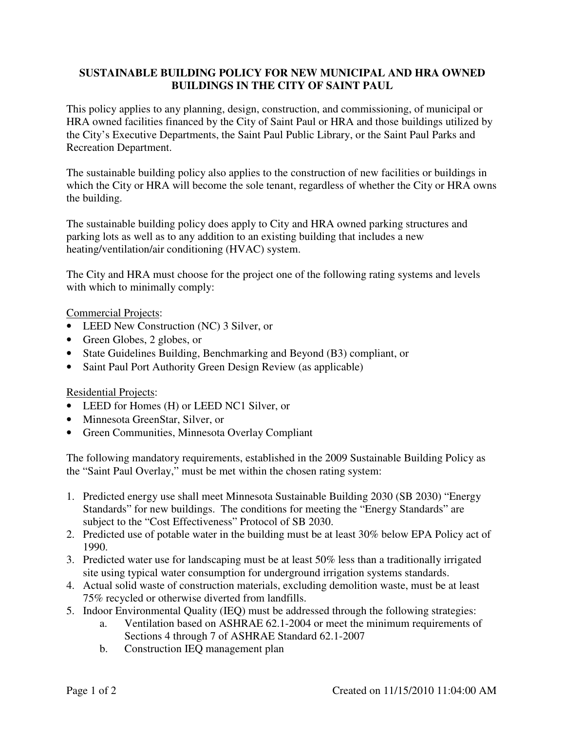## **SUSTAINABLE BUILDING POLICY FOR NEW MUNICIPAL AND HRA OWNED BUILDINGS IN THE CITY OF SAINT PAUL**

This policy applies to any planning, design, construction, and commissioning, of municipal or HRA owned facilities financed by the City of Saint Paul or HRA and those buildings utilized by the City's Executive Departments, the Saint Paul Public Library, or the Saint Paul Parks and Recreation Department.

The sustainable building policy also applies to the construction of new facilities or buildings in which the City or HRA will become the sole tenant, regardless of whether the City or HRA owns the building.

The sustainable building policy does apply to City and HRA owned parking structures and parking lots as well as to any addition to an existing building that includes a new heating/ventilation/air conditioning (HVAC) system.

The City and HRA must choose for the project one of the following rating systems and levels with which to minimally comply:

Commercial Projects:

- LEED New Construction (NC) 3 Silver, or
- Green Globes, 2 globes, or
- State Guidelines Building, Benchmarking and Beyond (B3) compliant, or
- Saint Paul Port Authority Green Design Review (as applicable)

## Residential Projects:

- LEED for Homes (H) or LEED NC1 Silver, or
- Minnesota GreenStar, Silver, or
- Green Communities, Minnesota Overlay Compliant

The following mandatory requirements, established in the 2009 Sustainable Building Policy as the "Saint Paul Overlay," must be met within the chosen rating system:

- 1. Predicted energy use shall meet Minnesota Sustainable Building 2030 (SB 2030) "Energy Standards" for new buildings. The conditions for meeting the "Energy Standards" are subject to the "Cost Effectiveness" Protocol of SB 2030.
- 2. Predicted use of potable water in the building must be at least 30% below EPA Policy act of 1990.
- 3. Predicted water use for landscaping must be at least 50% less than a traditionally irrigated site using typical water consumption for underground irrigation systems standards.
- 4. Actual solid waste of construction materials, excluding demolition waste, must be at least 75% recycled or otherwise diverted from landfills.
- 5. Indoor Environmental Quality (IEQ) must be addressed through the following strategies:
	- a. Ventilation based on ASHRAE 62.1-2004 or meet the minimum requirements of Sections 4 through 7 of ASHRAE Standard 62.1-2007
	- b. Construction IEQ management plan